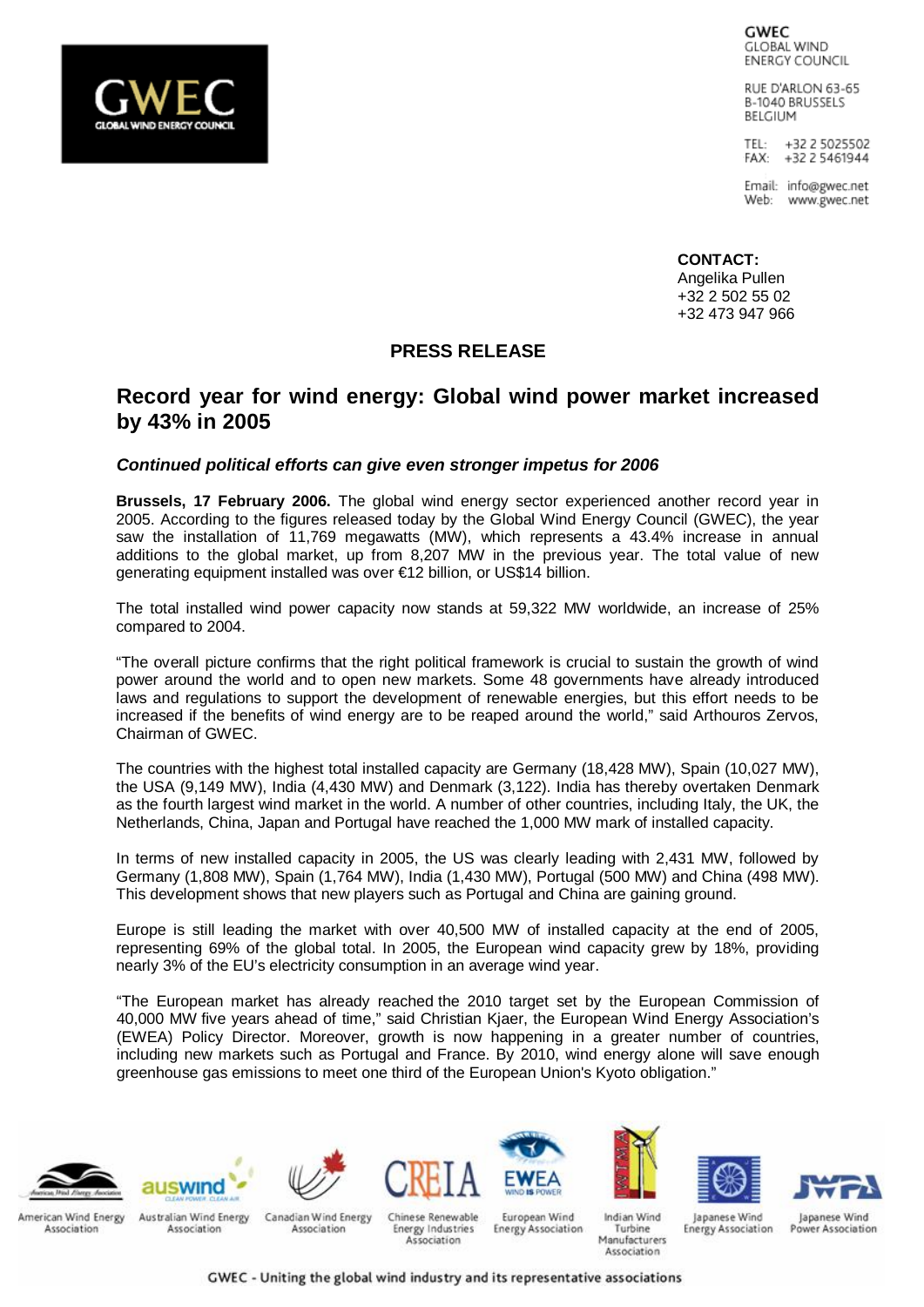GWEC **GLOBAL WIND ENERGY COUNCIL** 

RUE D'ARLON 63-65 B-1040 BRUSSELS BELGIUM

TEL: +32 2 5025502 FAX: +32 2 5461944

Email: info@gwec.net Web: www.gwec.net

**CONTACT:**

Angelika Pullen +32 2 502 55 02 +32 473 947 966

### **PRESS RELEASE**

# **Record year for wind energy: Global wind power market increased by 43% in 2005**

#### *Continued political efforts can give even stronger impetus for 2006*

**Brussels, 17 February 2006.** The global wind energy sector experienced another record year in 2005. According to the figures released today by the Global Wind Energy Council (GWEC), the year saw the installation of 11,769 megawatts (MW), which represents a 43.4% increase in annual additions to the global market, up from 8,207 MW in the previous year. The total value of new generating equipment installed was over €12 billion, or US\$14 billion.

The total installed wind power capacity now stands at 59,322 MW worldwide, an increase of 25% compared to 2004.

"The overall picture confirms that the right political framework is crucial to sustain the growth of wind power around the world and to open new markets. Some 48 governments have already introduced laws and regulations to support the development of renewable energies, but this effort needs to be increased if the benefits of wind energy are to be reaped around the world," said Arthouros Zervos, Chairman of GWEC.

The countries with the highest total installed capacity are Germany (18,428 MW), Spain (10,027 MW), the USA (9,149 MW), India (4,430 MW) and Denmark (3,122). India has thereby overtaken Denmark as the fourth largest wind market in the world. A number of other countries, including Italy, the UK, the Netherlands, China, Japan and Portugal have reached the 1,000 MW mark of installed capacity.

In terms of new installed capacity in 2005, the US was clearly leading with 2,431 MW, followed by Germany (1,808 MW), Spain (1,764 MW), India (1,430 MW), Portugal (500 MW) and China (498 MW). This development shows that new players such as Portugal and China are gaining ground.

Europe is still leading the market with over 40,500 MW of installed capacity at the end of 2005, representing 69% of the global total. In 2005, the European wind capacity grew by 18%, providing nearly 3% of the EU's electricity consumption in an average wind year.

"The European market has already reached the 2010 target set by the European Commission of 40,000 MW five years ahead of time," said Christian Kjaer, the European Wind Energy Association's (EWEA) Policy Director. Moreover, growth is now happening in a greater number of countries, including new markets such as Portugal and France. By 2010, wind energy alone will save enough greenhouse gas emissions to meet one third of the European Union's Kyoto obligation."

















American Wind Energy Association

Australian Wind Energy Association

Canadian Wind Energy Association

Chinese Renewable Energy Industries Association

European Wind **Energy Association** 

Indian Wind Turbine Manufacturers Association

lapanese Wind **Energy Association** 

Japanese Wind Power Association

GWEC - Uniting the global wind industry and its representative associations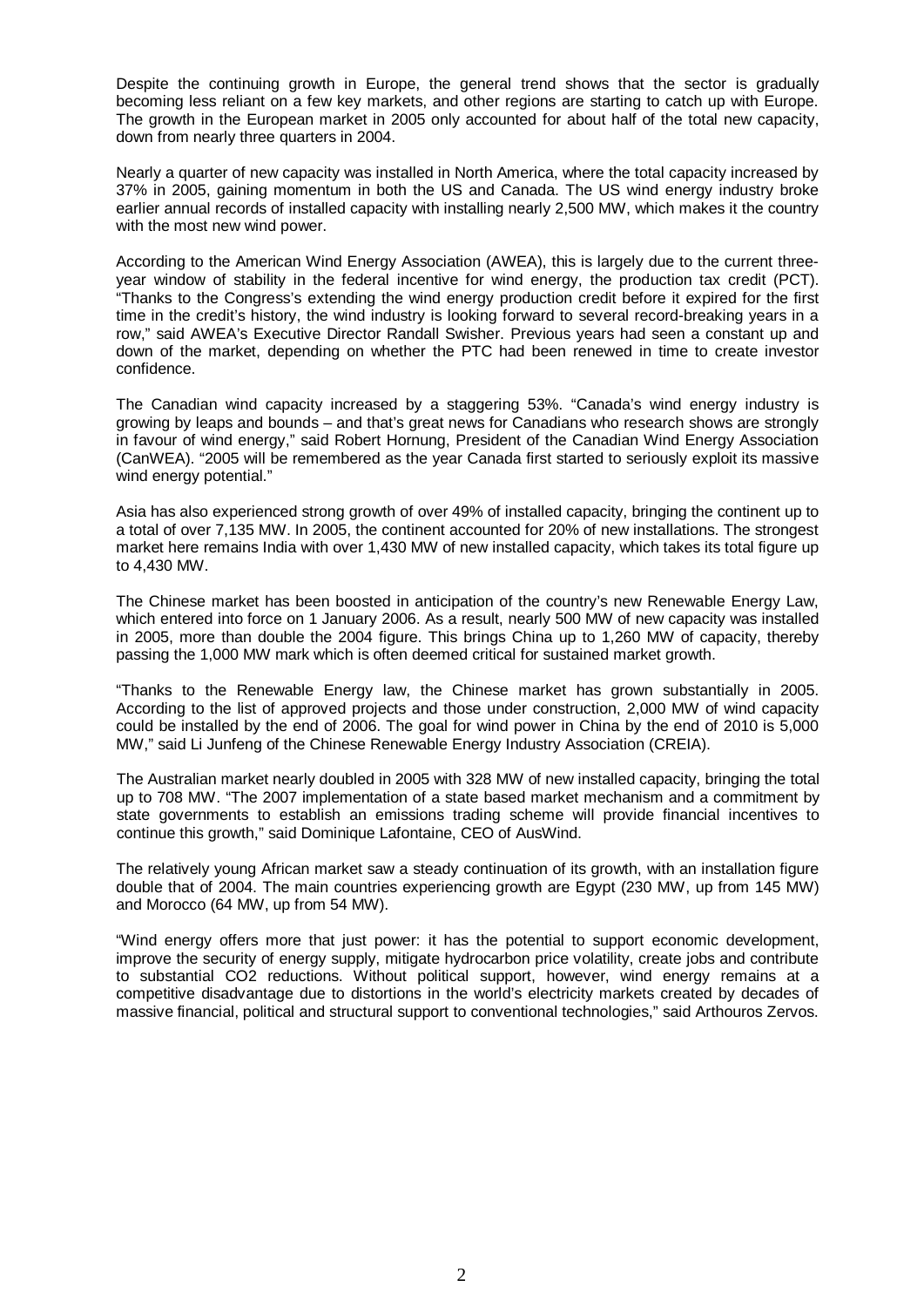Despite the continuing growth in Europe, the general trend shows that the sector is gradually becoming less reliant on a few key markets, and other regions are starting to catch up with Europe. The growth in the European market in 2005 only accounted for about half of the total new capacity, down from nearly three quarters in 2004.

Nearly a quarter of new capacity was installed in North America, where the total capacity increased by 37% in 2005, gaining momentum in both the US and Canada. The US wind energy industry broke earlier annual records of installed capacity with installing nearly 2,500 MW, which makes it the country with the most new wind power.

According to the American Wind Energy Association (AWEA), this is largely due to the current threeyear window of stability in the federal incentive for wind energy, the production tax credit (PCT). "Thanks to the Congress's extending the wind energy production credit before it expired for the first time in the credit's history, the wind industry is looking forward to several record-breaking years in a row," said AWEA's Executive Director Randall Swisher. Previous years had seen a constant up and down of the market, depending on whether the PTC had been renewed in time to create investor confidence.

The Canadian wind capacity increased by a staggering 53%. "Canada's wind energy industry is growing by leaps and bounds – and that's great news for Canadians who research shows are strongly in favour of wind energy," said Robert Hornung, President of the Canadian Wind Energy Association (CanWEA). "2005 will be remembered as the year Canada first started to seriously exploit its massive wind energy potential."

Asia has also experienced strong growth of over 49% of installed capacity, bringing the continent up to a total of over 7,135 MW. In 2005, the continent accounted for 20% of new installations. The strongest market here remains India with over 1,430 MW of new installed capacity, which takes its total figure up to 4,430 MW.

The Chinese market has been boosted in anticipation of the country's new Renewable Energy Law, which entered into force on 1 January 2006. As a result, nearly 500 MW of new capacity was installed in 2005, more than double the 2004 figure. This brings China up to 1,260 MW of capacity, thereby passing the 1,000 MW mark which is often deemed critical for sustained market growth.

"Thanks to the Renewable Energy law, the Chinese market has grown substantially in 2005. According to the list of approved projects and those under construction, 2,000 MW of wind capacity could be installed by the end of 2006. The goal for wind power in China by the end of 2010 is 5,000 MW," said Li Junfeng of the Chinese Renewable Energy Industry Association (CREIA).

The Australian market nearly doubled in 2005 with 328 MW of new installed capacity, bringing the total up to 708 MW. "The 2007 implementation of a state based market mechanism and a commitment by state governments to establish an emissions trading scheme will provide financial incentives to continue this growth," said Dominique Lafontaine, CEO of AusWind.

The relatively young African market saw a steady continuation of its growth, with an installation figure double that of 2004. The main countries experiencing growth are Egypt (230 MW, up from 145 MW) and Morocco (64 MW, up from 54 MW).

"Wind energy offers more that just power: it has the potential to support economic development, improve the security of energy supply, mitigate hydrocarbon price volatility, create jobs and contribute to substantial CO2 reductions. Without political support, however, wind energy remains at a competitive disadvantage due to distortions in the world's electricity markets created by decades of massive financial, political and structural support to conventional technologies," said Arthouros Zervos.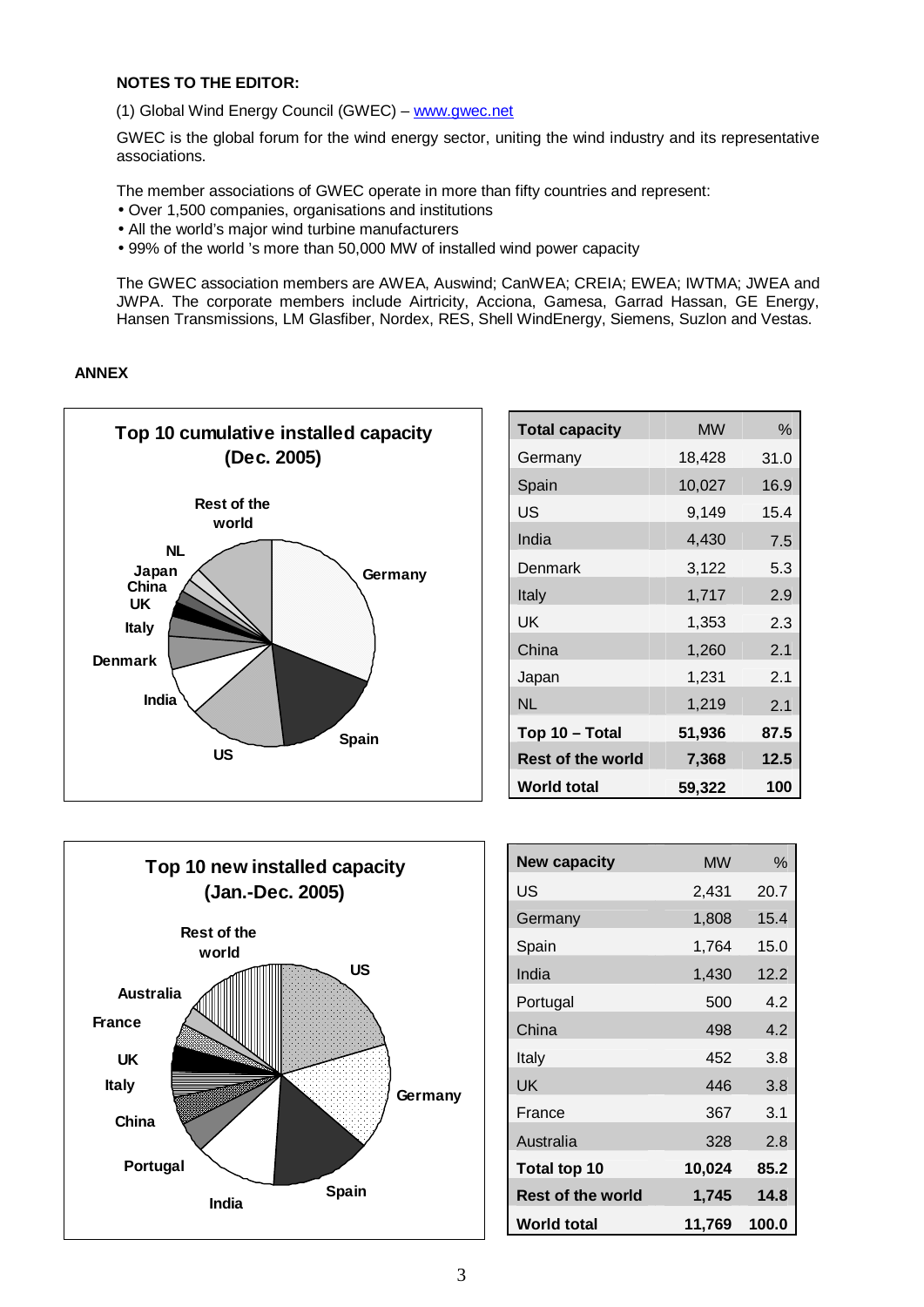#### **NOTES TO THE EDITOR:**

(1) Global Wind Energy Council (GWEC) – [www.gwec.net](http://www.gwec.net)

GWEC is the global forum for the wind energy sector, uniting the wind industry and its representative associations.

The member associations of GWEC operate in more than fifty countries and represent:

- Over 1,500 companies, organisations and institutions
- All the world's major wind turbine manufacturers
- 99% of the world 's more than 50,000 MW of installed wind power capacity

The GWEC association members are AWEA, Auswind; CanWEA; CREIA; EWEA; IWTMA; JWEA and JWPA. The corporate members include Airtricity, Acciona, Gamesa, Garrad Hassan, GE Energy, Hansen Transmissions, LM Glasfiber, Nordex, RES, Shell WindEnergy, Siemens, Suzlon and Vestas.

### **ANNEX**



| <b>Total capacity</b>    | <b>MW</b> | $\%$ |
|--------------------------|-----------|------|
| Germany                  | 18,428    | 31.0 |
| Spain                    | 10,027    | 16.9 |
| US                       | 9.149     | 15.4 |
| India                    | 4,430     | 7.5  |
| Denmark                  | 3,122     | 5.3  |
| Italy                    | 1,717     | 2.9  |
| UK                       | 1,353     | 2.3  |
| China                    | 1,260     | 2.1  |
| Japan                    | 1,231     | 2.1  |
| <b>NL</b>                | 1,219     | 2.1  |
| Top 10 - Total           | 51,936    | 87.5 |
| <b>Rest of the world</b> | 7,368     | 12.5 |
| <b>World total</b>       | 59,322    | 100  |



| <b>New capacity</b>      | <b>MW</b> | $\%$  |
|--------------------------|-----------|-------|
| US                       | 2,431     | 20.7  |
| Germany                  | 1,808     | 15.4  |
| Spain                    | 1,764     | 15.0  |
| India                    | 1,430     | 12.2  |
| Portugal                 | 500       | 4.2   |
| China                    | 498       | 4.2   |
| Italy                    | 452       | 3.8   |
| UK                       | 446       | 3.8   |
| France                   | 367       | 3.1   |
| Australia                | 328       | 2.8   |
| Total top 10             | 10,024    | 85.2  |
| <b>Rest of the world</b> | 1,745     | 14.8  |
| World total              | 11,769    | 100.0 |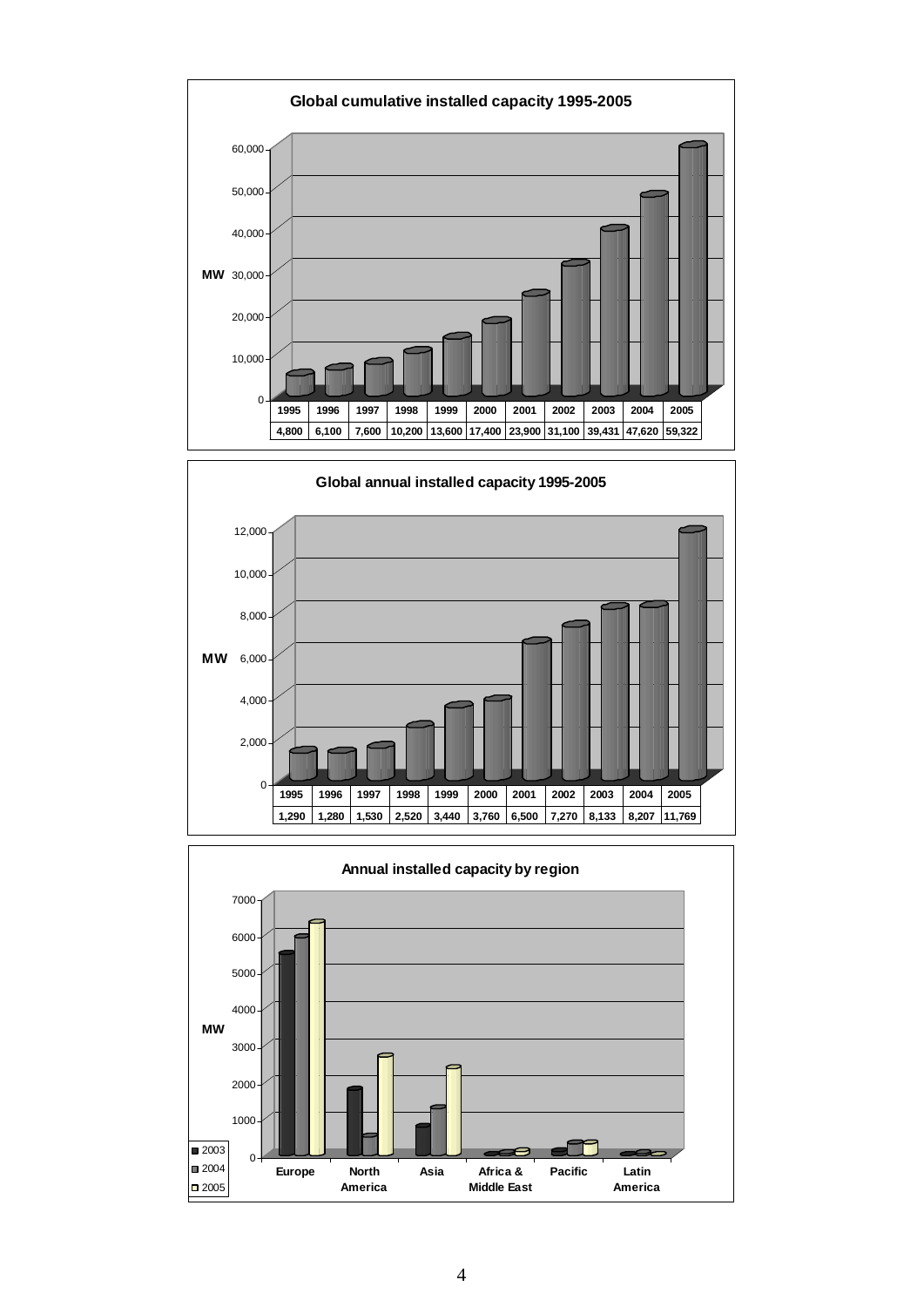